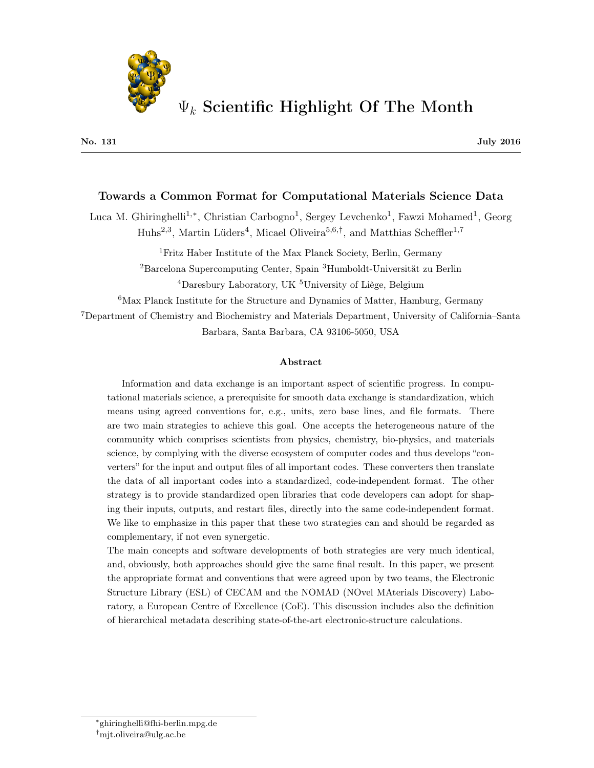

#### Towards a Common Format for Computational Materials Science Data

Luca M. Ghiringhelli<sup>1,\*</sup>, Christian Carbogno<sup>1</sup>, Sergey Levchenko<sup>1</sup>, Fawzi Mohamed<sup>1</sup>, Georg Huhs<sup>2,3</sup>, Martin Lüders<sup>4</sup>, Micael Oliveira<sup>5,6,†</sup>, and Matthias Scheffler<sup>1,7</sup>

<sup>1</sup>Fritz Haber Institute of the Max Planck Society, Berlin, Germany

<sup>2</sup>Barcelona Supercomputing Center, Spain <sup>3</sup>Humboldt-Universität zu Berlin

<sup>4</sup>Daresbury Laboratory, UK <sup>5</sup>University of Liège, Belgium

<sup>6</sup>Max Planck Institute for the Structure and Dynamics of Matter, Hamburg, Germany

<sup>7</sup>Department of Chemistry and Biochemistry and Materials Department, University of California–Santa Barbara, Santa Barbara, CA 93106-5050, USA

#### Abstract

Information and data exchange is an important aspect of scientific progress. In computational materials science, a prerequisite for smooth data exchange is standardization, which means using agreed conventions for, e.g., units, zero base lines, and file formats. There are two main strategies to achieve this goal. One accepts the heterogeneous nature of the community which comprises scientists from physics, chemistry, bio-physics, and materials science, by complying with the diverse ecosystem of computer codes and thus develops "converters" for the input and output files of all important codes. These converters then translate the data of all important codes into a standardized, code-independent format. The other strategy is to provide standardized open libraries that code developers can adopt for shaping their inputs, outputs, and restart files, directly into the same code-independent format. We like to emphasize in this paper that these two strategies can and should be regarded as complementary, if not even synergetic.

The main concepts and software developments of both strategies are very much identical, and, obviously, both approaches should give the same final result. In this paper, we present the appropriate format and conventions that were agreed upon by two teams, the Electronic Structure Library (ESL) of CECAM and the NOMAD (NOvel MAterials Discovery) Laboratory, a European Centre of Excellence (CoE). This discussion includes also the definition of hierarchical metadata describing state-of-the-art electronic-structure calculations.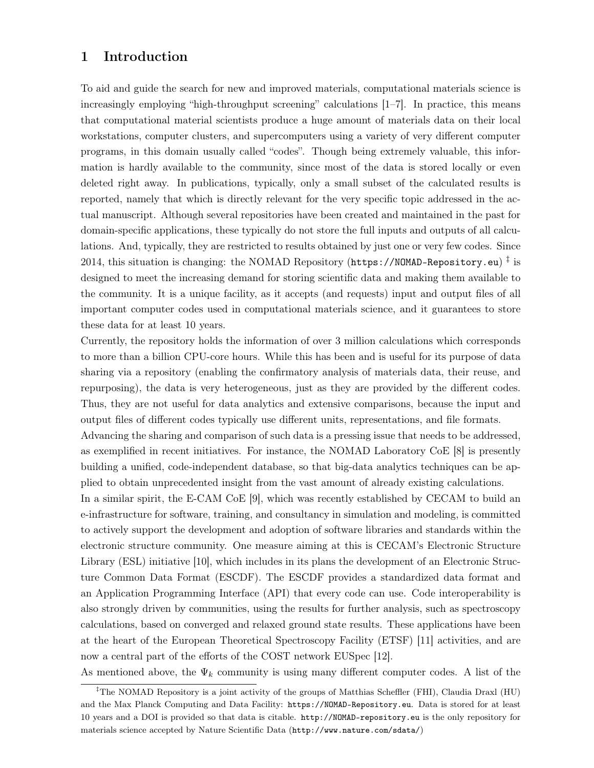# 1 Introduction

To aid and guide the search for new and improved materials, computational materials science is increasingly employing "high-throughput screening" calculations [1–7]. In practice, this means that computational material scientists produce a huge amount of materials data on their local workstations, computer clusters, and supercomputers using a variety of very different computer programs, in this domain usually called "codes". Though being extremely valuable, this information is hardly available to the community, since most of the data is stored locally or even deleted right away. In publications, typically, only a small subset of the calculated results is reported, namely that which is directly relevant for the very specific topic addressed in the actual manuscript. Although several repositories have been created and maintained in the past for domain-specific applications, these typically do not store the full inputs and outputs of all calculations. And, typically, they are restricted to results obtained by just one or very few codes. Since 2014, this situation is changing: the NOMAD Repository (<code>https://NOMAD-Repository.eu</code>)  $^\ddagger$  is designed to meet the increasing demand for storing scientific data and making them available to the community. It is a unique facility, as it accepts (and requests) input and output files of all important computer codes used in computational materials science, and it guarantees to store these data for at least 10 years.

Currently, the repository holds the information of over 3 million calculations which corresponds to more than a billion CPU-core hours. While this has been and is useful for its purpose of data sharing via a repository (enabling the confirmatory analysis of materials data, their reuse, and repurposing), the data is very heterogeneous, just as they are provided by the different codes. Thus, they are not useful for data analytics and extensive comparisons, because the input and output files of different codes typically use different units, representations, and file formats. Advancing the sharing and comparison of such data is a pressing issue that needs to be addressed, as exemplified in recent initiatives. For instance, the NOMAD Laboratory CoE [8] is presently building a unified, code-independent database, so that big-data analytics techniques can be applied to obtain unprecedented insight from the vast amount of already existing calculations.

In a similar spirit, the E-CAM CoE [9], which was recently established by CECAM to build an e-infrastructure for software, training, and consultancy in simulation and modeling, is committed to actively support the development and adoption of software libraries and standards within the electronic structure community. One measure aiming at this is CECAM's Electronic Structure Library (ESL) initiative [10], which includes in its plans the development of an Electronic Structure Common Data Format (ESCDF). The ESCDF provides a standardized data format and an Application Programming Interface (API) that every code can use. Code interoperability is also strongly driven by communities, using the results for further analysis, such as spectroscopy calculations, based on converged and relaxed ground state results. These applications have been at the heart of the European Theoretical Spectroscopy Facility (ETSF) [11] activities, and are now a central part of the efforts of the COST network EUSpec [12].

As mentioned above, the  $\Psi_k$  community is using many different computer codes. A list of the

<sup>‡</sup>The NOMAD Repository is a joint activity of the groups of Matthias Scheffler (FHI), Claudia Draxl (HU) and the Max Planck Computing and Data Facility: https://NOMAD-Repository.eu. Data is stored for at least 10 years and a DOI is provided so that data is citable. http://NOMAD-repository.eu is the only repository for materials science accepted by Nature Scientific Data (http://www.nature.com/sdata/)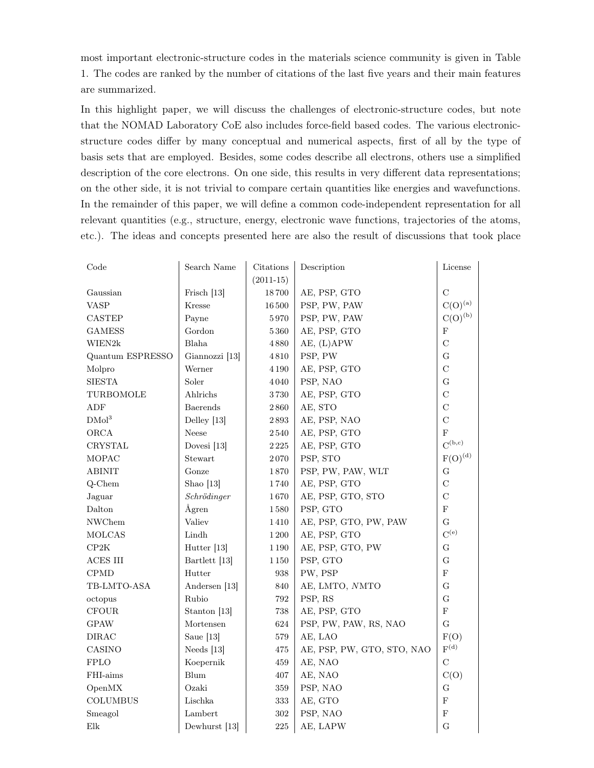most important electronic-structure codes in the materials science community is given in Table 1. The codes are ranked by the number of citations of the last five years and their main features are summarized.

In this highlight paper, we will discuss the challenges of electronic-structure codes, but note that the NOMAD Laboratory CoE also includes force-field based codes. The various electronicstructure codes differ by many conceptual and numerical aspects, first of all by the type of basis sets that are employed. Besides, some codes describe all electrons, others use a simplified description of the core electrons. On one side, this results in very different data representations; on the other side, it is not trivial to compare certain quantities like energies and wavefunctions. In the remainder of this paper, we will define a common code-independent representation for all relevant quantities (e.g., structure, energy, electronic wave functions, trajectories of the atoms, etc.). The ideas and concepts presented here are also the result of discussions that took place

| Code                                       | Search Name            | Citations   | Description                | License                                  |
|--------------------------------------------|------------------------|-------------|----------------------------|------------------------------------------|
|                                            |                        | $(2011-15)$ |                            |                                          |
| Gaussian                                   | Frisch <sup>[13]</sup> | $18\,700$   | AE, PSP, GTO               | $\mathbf C$                              |
| VASP                                       | Kresse                 | 16500       | PSP, PW, PAW               | $C(O)^{(a)}$                             |
| <b>CASTEP</b>                              | Payne                  | 5970        | PSP, PW, PAW               | $C(O)^{(b)}$                             |
| <b>GAMESS</b>                              | Gordon                 | 5360        | AE, PSP, GTO               | $\mathbf F$                              |
| WIEN2k                                     | Blaha                  | 4880        | AE, (L)APW                 | $\mathcal{C}$                            |
| Quantum ESPRESSO                           | Giannozzi [13]         | 4810        | PSP, PW                    | G                                        |
| Molpro                                     | Werner                 | 4 1 9 0     | AE, PSP, GTO               | $\mathcal{C}$                            |
| <b>SIESTA</b>                              | Soler                  | 4040        | PSP, NAO                   | $\mathbf G$                              |
| TURBOMOLE                                  | Ahlrichs               | $3\,730$    | AE, PSP, GTO               | $\mathcal{C}$                            |
| ADF                                        | <b>Baerends</b>        | $2\,860$    | AE, STO                    | $\mathcal{C}$                            |
| DMol <sup>3</sup>                          | Delley [13]            | 2893        | AE, PSP, NAO               | $\mathcal{C}$                            |
| ORCA                                       | Neese                  | 2540        | AE, PSP, GTO               | F                                        |
| CRYSTAL                                    | Dovesi <sup>[13]</sup> | 2225        | AE, PSP, GTO               | $C^{(b,c)}$                              |
| MOPAC                                      | Stewart                | $2\,070$    | PSP, STO                   | $F(O)^{(d)}$                             |
| <b>ABINIT</b>                              | Gonze                  | 1870        | PSP, PW, PAW, WLT          | G                                        |
| Q-Chem                                     | Shao $[13]$            | 1740        | AE, PSP, GTO               | $\overline{C}$                           |
| Jaguar                                     | Schrödinger            | 1670        | AE, PSP, GTO, STO          | $\mathcal{C}$                            |
| Dalton                                     | Ågren                  | $1\,580$    | PSP, GTO                   | $\mathbf F$                              |
| <b>NWChem</b>                              | Valiev                 | 1410        | AE, PSP, GTO, PW, PAW      | G                                        |
| <b>MOLCAS</b>                              | Lindh                  | 1 200       | AE, PSP, GTO               | $C^{(e)}$                                |
| CP2K                                       | Hutter [13]            | $1\,190$    | AE, PSP, GTO, PW           | G                                        |
| $\operatorname{ACES}$ $\operatorname{III}$ | Bartlett [13]          | $1\,150$    | PSP, GTO                   | G                                        |
| CPMD                                       | Hutter                 | 938         | PW, PSP                    | $_{\rm F}$                               |
| TB-LMTO-ASA                                | Andersen [13]          | 840         | AE, LMTO, NMTO             | G                                        |
| octopus                                    | Rubio                  | 792         | PSP, RS                    | G                                        |
| <b>CFOUR</b>                               | Stanton [13]           | 738         | AE, PSP, GTO               | ${\bf F}$                                |
| <b>GPAW</b>                                | Mortensen              | 624         | PSP, PW, PAW, RS, NAO      | G                                        |
| <b>DIRAC</b>                               | Saue $[13]$            | $579\,$     | AE, LAO                    | F(O)                                     |
| CASINO                                     | Needs $[13]$           | 475         | AE, PSP, PW, GTO, STO, NAO | $\mathbf{F}^{(\textnormal{\texttt{d}})}$ |
| <b>FPLO</b>                                | Koepernik              | 459         | AE, NAO                    | $\mathcal C$                             |
| FHI-aims                                   | Blum                   | 407         | AE, NAO                    | C(O)                                     |
| OpenMX                                     | Ozaki                  | $359\,$     | PSP, NAO                   | G                                        |
| <b>COLUMBUS</b>                            | Lischka                | 333         | AE, GTO                    | $_{\rm F}$                               |
| Smeagol                                    | Lambert                | 302         | PSP, NAO                   | F                                        |
| Elk                                        | Dewhurst [13]          | 225         | AE, LAPW                   | $\overline{G}$                           |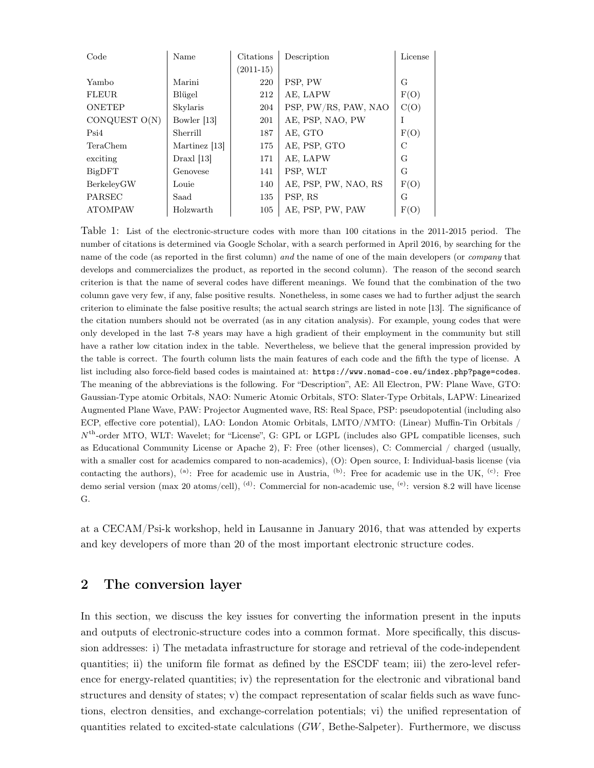| Code           | Name          | Citations   | Description          | License |
|----------------|---------------|-------------|----------------------|---------|
|                |               | $(2011-15)$ |                      |         |
| Yambo          | Marini        | 220         | PSP, PW              | G       |
| <b>FLEUR</b>   | Blügel        | 212         | AE, LAPW             | F(O)    |
| <b>ONETEP</b>  | Skylaris      | 204         | PSP, PW/RS, PAW, NAO | C(O)    |
| CONQUEST O(N)  | Bowler [13]   | 201         | AE, PSP, NAO, PW     |         |
| Psi4           | Sherrill      | 187         | AE, GTO              | F(O)    |
| TeraChem       | Martinez [13] | 175         | AE, PSP, GTO         | C       |
| exciting       | $Draxl$ [13]  | 171         | AE, LAPW             | G       |
| BigDFT         | Genovese      | 141         | PSP, WLT             | G       |
| BerkelevGW     | Louie         | 140         | AE, PSP, PW, NAO, RS | F(O)    |
| PARSEC         | Saad          | 135         | PSP, RS              | G       |
| <b>ATOMPAW</b> | Holzwarth     | 105         | AE, PSP, PW, PAW     | F(O)    |

Table 1: List of the electronic-structure codes with more than 100 citations in the 2011-2015 period. The number of citations is determined via Google Scholar, with a search performed in April 2016, by searching for the name of the code (as reported in the first column) and the name of one of the main developers (or *company* that develops and commercializes the product, as reported in the second column). The reason of the second search criterion is that the name of several codes have different meanings. We found that the combination of the two column gave very few, if any, false positive results. Nonetheless, in some cases we had to further adjust the search criterion to eliminate the false positive results; the actual search strings are listed in note [13]. The significance of the citation numbers should not be overrated (as in any citation analysis). For example, young codes that were only developed in the last 7-8 years may have a high gradient of their employment in the community but still have a rather low citation index in the table. Nevertheless, we believe that the general impression provided by the table is correct. The fourth column lists the main features of each code and the fifth the type of license. A list including also force-field based codes is maintained at: https://www.nomad-coe.eu/index.php?page=codes. The meaning of the abbreviations is the following. For "Description", AE: All Electron, PW: Plane Wave, GTO: Gaussian-Type atomic Orbitals, NAO: Numeric Atomic Orbitals, STO: Slater-Type Orbitals, LAPW: Linearized Augmented Plane Wave, PAW: Projector Augmented wave, RS: Real Space, PSP: pseudopotential (including also ECP, effective core potential), LAO: London Atomic Orbitals, LMTO/NMTO: (Linear) Muffin-Tin Orbitals / N th-order MTO, WLT: Wavelet; for "License", G: GPL or LGPL (includes also GPL compatible licenses, such as Educational Community License or Apache 2), F: Free (other licenses), C: Commercial / charged (usually, with a smaller cost for academics compared to non-academics), (O): Open source, I: Individual-basis license (via contacting the authors), <sup>(a)</sup>: Free for academic use in Austria, <sup>(b)</sup>: Free for academic use in the UK, <sup>(c)</sup>: Free demo serial version (max 20 atoms/cell), <sup>(d)</sup>: Commercial for non-academic use, <sup>(e)</sup>: version 8.2 will have license G.

at a CECAM/Psi-k workshop, held in Lausanne in January 2016, that was attended by experts and key developers of more than 20 of the most important electronic structure codes.

### 2 The conversion layer

In this section, we discuss the key issues for converting the information present in the inputs and outputs of electronic-structure codes into a common format. More specifically, this discussion addresses: i) The metadata infrastructure for storage and retrieval of the code-independent quantities; ii) the uniform file format as defined by the ESCDF team; iii) the zero-level reference for energy-related quantities; iv) the representation for the electronic and vibrational band structures and density of states; v) the compact representation of scalar fields such as wave functions, electron densities, and exchange-correlation potentials; vi) the unified representation of quantities related to excited-state calculations  $(GW, Bethe-Salpeter)$ . Furthermore, we discuss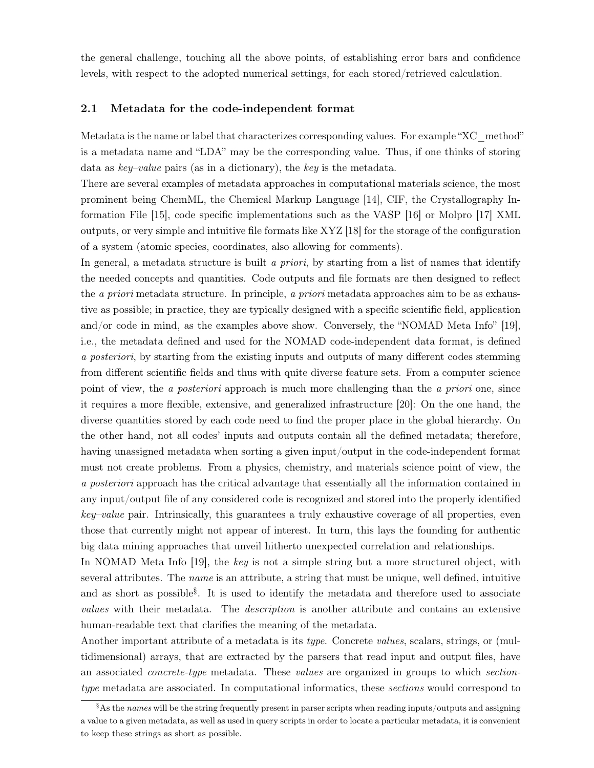the general challenge, touching all the above points, of establishing error bars and confidence levels, with respect to the adopted numerical settings, for each stored/retrieved calculation.

#### 2.1 Metadata for the code-independent format

Metadata is the name or label that characterizes corresponding values. For example "XC\_method" is a metadata name and "LDA" may be the corresponding value. Thus, if one thinks of storing data as key–value pairs (as in a dictionary), the key is the metadata.

There are several examples of metadata approaches in computational materials science, the most prominent being ChemML, the Chemical Markup Language [14], CIF, the Crystallography Information File [15], code specific implementations such as the VASP [16] or Molpro [17] XML outputs, or very simple and intuitive file formats like XYZ [18] for the storage of the configuration of a system (atomic species, coordinates, also allowing for comments).

In general, a metadata structure is built a priori, by starting from a list of names that identify the needed concepts and quantities. Code outputs and file formats are then designed to reflect the a priori metadata structure. In principle, a priori metadata approaches aim to be as exhaustive as possible; in practice, they are typically designed with a specific scientific field, application and/or code in mind, as the examples above show. Conversely, the "NOMAD Meta Info" [19], i.e., the metadata defined and used for the NOMAD code-independent data format, is defined a posteriori, by starting from the existing inputs and outputs of many different codes stemming from different scientific fields and thus with quite diverse feature sets. From a computer science point of view, the a *posteriori* approach is much more challenging than the a *priori* one, since it requires a more flexible, extensive, and generalized infrastructure [20]: On the one hand, the diverse quantities stored by each code need to find the proper place in the global hierarchy. On the other hand, not all codes' inputs and outputs contain all the defined metadata; therefore, having unassigned metadata when sorting a given input/output in the code-independent format must not create problems. From a physics, chemistry, and materials science point of view, the a posteriori approach has the critical advantage that essentially all the information contained in any input/output file of any considered code is recognized and stored into the properly identified key–value pair. Intrinsically, this guarantees a truly exhaustive coverage of all properties, even those that currently might not appear of interest. In turn, this lays the founding for authentic big data mining approaches that unveil hitherto unexpected correlation and relationships.

In NOMAD Meta Info [19], the key is not a simple string but a more structured object, with several attributes. The *name* is an attribute, a string that must be unique, well defined, intuitive and as short as possible<sup>§</sup>. It is used to identify the metadata and therefore used to associate values with their metadata. The description is another attribute and contains an extensive human-readable text that clarifies the meaning of the metadata.

Another important attribute of a metadata is its type. Concrete values, scalars, strings, or (multidimensional) arrays, that are extracted by the parsers that read input and output files, have an associated *concrete-type* metadata. These *values* are organized in groups to which *section*type metadata are associated. In computational informatics, these sections would correspond to

 $\frac{1}{2}$ As the names will be the string frequently present in parser scripts when reading inputs/outputs and assigning a value to a given metadata, as well as used in query scripts in order to locate a particular metadata, it is convenient to keep these strings as short as possible.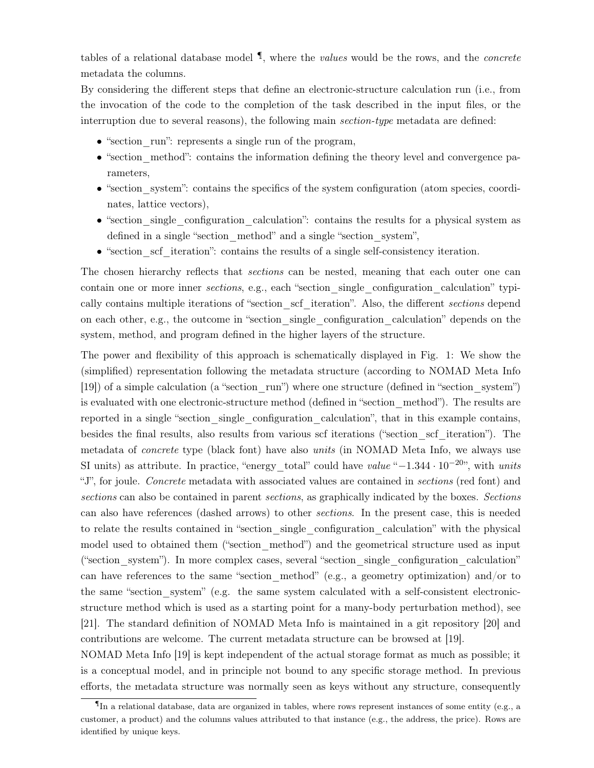tables of a relational database model  $\P$ , where the *values* would be the rows, and the *concrete* metadata the columns.

By considering the different steps that define an electronic-structure calculation run (i.e., from the invocation of the code to the completion of the task described in the input files, or the interruption due to several reasons), the following main *section-type* metadata are defined:

- "section run": represents a single run of the program,
- "section method": contains the information defining the theory level and convergence parameters,
- "section system": contains the specifics of the system configuration (atom species, coordinates, lattice vectors),
- "section single configuration calculation": contains the results for a physical system as defined in a single "section method" and a single "section system",
- "section set iteration": contains the results of a single self-consistency iteration.

The chosen hierarchy reflects that sections can be nested, meaning that each outer one can contain one or more inner sections, e.g., each "section\_single\_configuration\_calculation" typically contains multiple iterations of "section scf iteration". Also, the different sections depend on each other, e.g., the outcome in "section\_single\_configuration\_calculation" depends on the system, method, and program defined in the higher layers of the structure.

The power and flexibility of this approach is schematically displayed in Fig. 1: We show the (simplified) representation following the metadata structure (according to NOMAD Meta Info [19]) of a simple calculation (a "section\_run") where one structure (defined in "section\_system") is evaluated with one electronic-structure method (defined in "section\_method"). The results are reported in a single "section single configuration calculation", that in this example contains, besides the final results, also results from various scf iterations ("section\_scf\_iteration"). The metadata of concrete type (black font) have also units (in NOMAD Meta Info, we always use SI units) as attribute. In practice, "energy total" could have value " $-1.344 \cdot 10^{-20}$ ", with units "J", for joule. Concrete metadata with associated values are contained in sections (red font) and sections can also be contained in parent sections, as graphically indicated by the boxes. Sections can also have references (dashed arrows) to other sections. In the present case, this is needed to relate the results contained in "section\_single\_configuration\_calculation" with the physical model used to obtained them ("section\_method") and the geometrical structure used as input ("section\_system"). In more complex cases, several "section\_single\_configuration\_calculation" can have references to the same "section method" (e.g., a geometry optimization) and/or to the same "section system" (e.g. the same system calculated with a self-consistent electronicstructure method which is used as a starting point for a many-body perturbation method), see [21]. The standard definition of NOMAD Meta Info is maintained in a git repository [20] and contributions are welcome. The current metadata structure can be browsed at [19].

NOMAD Meta Info [19] is kept independent of the actual storage format as much as possible; it is a conceptual model, and in principle not bound to any specific storage method. In previous efforts, the metadata structure was normally seen as keys without any structure, consequently

In a relational database, data are organized in tables, where rows represent instances of some entity (e.g., a customer, a product) and the columns values attributed to that instance (e.g., the address, the price). Rows are identified by unique keys.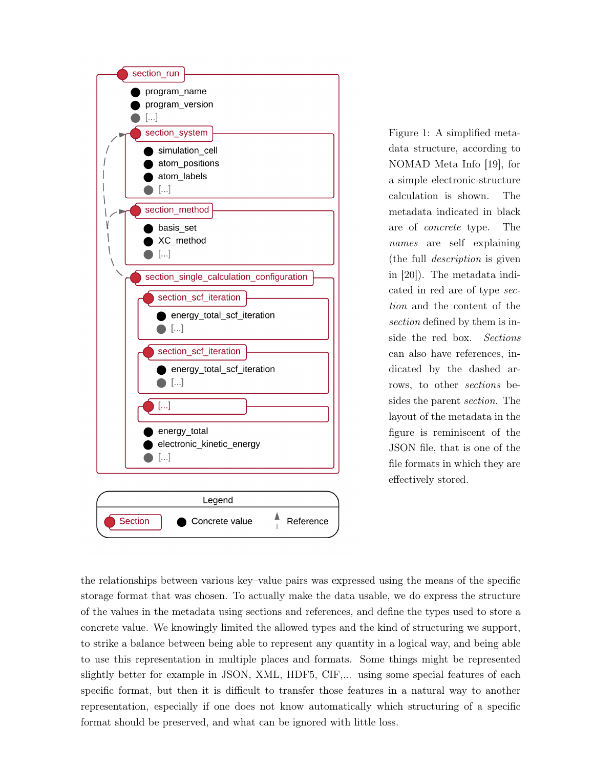

Figure 1: A simplified metadata structure, according to NOMAD Meta Info [19], for a simple electronic-structure calculation is shown. The metadata indicated in black are of concrete type. The names are self explaining (the full description is given in [20]). The metadata indicated in red are of type section and the content of the section defined by them is inside the red box. Sections can also have references, indicated by the dashed arrows, to other sections besides the parent section. The layout of the metadata in the figure is reminiscent of the JSON file, that is one of the file formats in which they are effectively stored.

the relationships between various key–value pairs was expressed using the means of the specific storage format that was chosen. To actually make the data usable, we do express the structure of the values in the metadata using sections and references, and define the types used to store a concrete value. We knowingly limited the allowed types and the kind of structuring we support, to strike a balance between being able to represent any quantity in a logical way, and being able to use this representation in multiple places and formats. Some things might be represented slightly better for example in JSON, XML, HDF5, CIF,... using some special features of each specific format, but then it is difficult to transfer those features in a natural way to another representation, especially if one does not know automatically which structuring of a specific format should be preserved, and what can be ignored with little loss.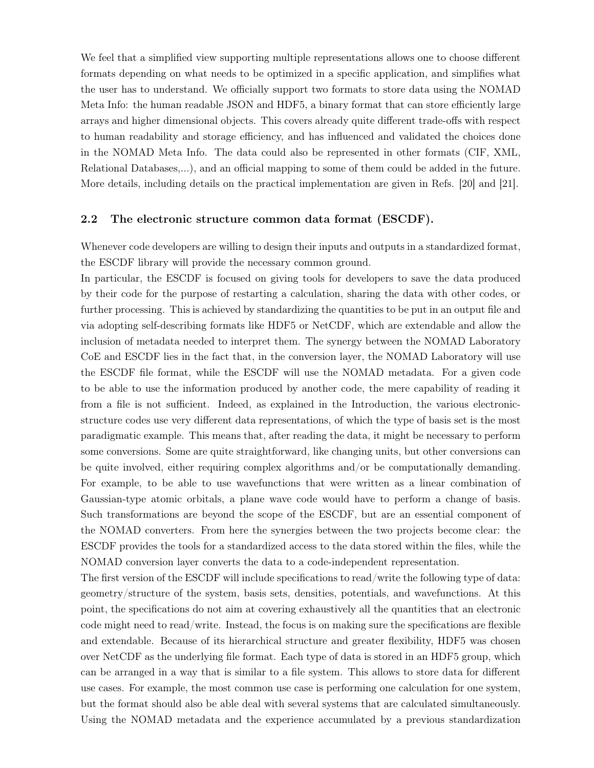We feel that a simplified view supporting multiple representations allows one to choose different formats depending on what needs to be optimized in a specific application, and simplifies what the user has to understand. We officially support two formats to store data using the NOMAD Meta Info: the human readable JSON and HDF5, a binary format that can store efficiently large arrays and higher dimensional objects. This covers already quite different trade-offs with respect to human readability and storage efficiency, and has influenced and validated the choices done in the NOMAD Meta Info. The data could also be represented in other formats (CIF, XML, Relational Databases,...), and an official mapping to some of them could be added in the future. More details, including details on the practical implementation are given in Refs. [20] and [21].

### 2.2 The electronic structure common data format (ESCDF).

Whenever code developers are willing to design their inputs and outputs in a standardized format, the ESCDF library will provide the necessary common ground.

In particular, the ESCDF is focused on giving tools for developers to save the data produced by their code for the purpose of restarting a calculation, sharing the data with other codes, or further processing. This is achieved by standardizing the quantities to be put in an output file and via adopting self-describing formats like HDF5 or NetCDF, which are extendable and allow the inclusion of metadata needed to interpret them. The synergy between the NOMAD Laboratory CoE and ESCDF lies in the fact that, in the conversion layer, the NOMAD Laboratory will use the ESCDF file format, while the ESCDF will use the NOMAD metadata. For a given code to be able to use the information produced by another code, the mere capability of reading it from a file is not sufficient. Indeed, as explained in the Introduction, the various electronicstructure codes use very different data representations, of which the type of basis set is the most paradigmatic example. This means that, after reading the data, it might be necessary to perform some conversions. Some are quite straightforward, like changing units, but other conversions can be quite involved, either requiring complex algorithms and/or be computationally demanding. For example, to be able to use wavefunctions that were written as a linear combination of Gaussian-type atomic orbitals, a plane wave code would have to perform a change of basis. Such transformations are beyond the scope of the ESCDF, but are an essential component of the NOMAD converters. From here the synergies between the two projects become clear: the ESCDF provides the tools for a standardized access to the data stored within the files, while the NOMAD conversion layer converts the data to a code-independent representation.

The first version of the ESCDF will include specifications to read/write the following type of data: geometry/structure of the system, basis sets, densities, potentials, and wavefunctions. At this point, the specifications do not aim at covering exhaustively all the quantities that an electronic code might need to read/write. Instead, the focus is on making sure the specifications are flexible and extendable. Because of its hierarchical structure and greater flexibility, HDF5 was chosen over NetCDF as the underlying file format. Each type of data is stored in an HDF5 group, which can be arranged in a way that is similar to a file system. This allows to store data for different use cases. For example, the most common use case is performing one calculation for one system, but the format should also be able deal with several systems that are calculated simultaneously. Using the NOMAD metadata and the experience accumulated by a previous standardization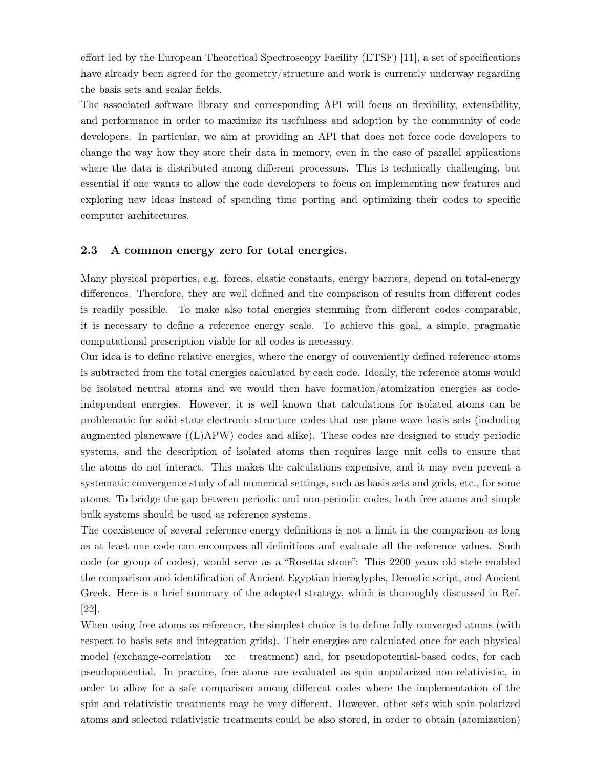effort led by the European Theoretical Spectroscopy Facility (ETSF) [11], a set of specifications have already been agreed for the geometry/structure and work is currently underway regarding the basis sets and scalar fields.

The associated software library and corresponding API will focus on flexibility, extensibility, and performance in order to maximize its usefulness and adoption by the community of code developers. In particular, we aim at providing an API that does not force code developers to change the way how they store their data in memory, even in the case of parallel applications where the data is distributed among different processors. This is technically challenging, but essential if one wants to allow the code developers to focus on implementing new features and exploring new ideas instead of spending time porting and optimizing their codes to specific computer architectures.

### 2.3 A common energy zero for total energies.

Many physical properties, e.g. forces, elastic constants, energy barriers, depend on total-energy differences. Therefore, they are well defined and the comparison of results from different codes is readily possible. To make also total energies stemming from different codes comparable, it is necessary to define a reference energy scale. To achieve this goal, a simple, pragmatic computational prescription viable for all codes is necessary.

Our idea is to define relative energies, where the energy of conveniently defined reference atoms is subtracted from the total energies calculated by each code. Ideally, the reference atoms would be isolated neutral atoms and we would then have formation/atomization energies as codeindependent energies. However, it is well known that calculations for isolated atoms can be problematic for solid-state electronic-structure codes that use plane-wave basis sets (including augmented planewave  $((L)APW)$  codes and alike). These codes are designed to study periodic systems, and the description of isolated atoms then requires large unit cells to ensure that the atoms do not interact. This makes the calculations expensive, and it may even prevent a systematic convergence study of all numerical settings, such as basis sets and grids, etc., for some atoms. To bridge the gap between periodic and non-periodic codes, both free atoms and simple bulk systems should be used as reference systems.

The coexistence of several reference-energy definitions is not a limit in the comparison as long as at least one code can encompass all definitions and evaluate all the reference values. Such code (or group of codes), would serve as a "Rosetta stone": This 2200 years old stele enabled the comparison and identification of Ancient Egyptian hieroglyphs, Demotic script, and Ancient Greek. Here is a brief summary of the adopted strategy, which is thoroughly discussed in Ref. [22].

When using free atoms as reference, the simplest choice is to define fully converged atoms (with respect to basis sets and integration grids). Their energies are calculated once for each physical model (exchange-correlation  $-\mathbf{xc}$  – treatment) and, for pseudopotential-based codes, for each pseudopotential. In practice, free atoms are evaluated as spin unpolarized non-relativistic, in order to allow for a safe comparison among different codes where the implementation of the spin and relativistic treatments may be very different. However, other sets with spin-polarized atoms and selected relativistic treatments could be also stored, in order to obtain (atomization)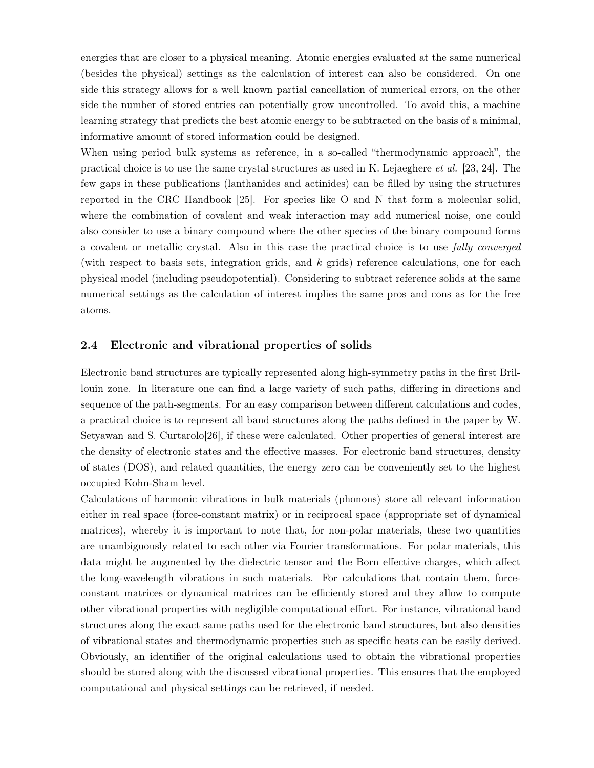energies that are closer to a physical meaning. Atomic energies evaluated at the same numerical (besides the physical) settings as the calculation of interest can also be considered. On one side this strategy allows for a well known partial cancellation of numerical errors, on the other side the number of stored entries can potentially grow uncontrolled. To avoid this, a machine learning strategy that predicts the best atomic energy to be subtracted on the basis of a minimal, informative amount of stored information could be designed.

When using period bulk systems as reference, in a so-called "thermodynamic approach", the practical choice is to use the same crystal structures as used in K. Lejaeghere et al. [23, 24]. The few gaps in these publications (lanthanides and actinides) can be filled by using the structures reported in the CRC Handbook [25]. For species like O and N that form a molecular solid, where the combination of covalent and weak interaction may add numerical noise, one could also consider to use a binary compound where the other species of the binary compound forms a covalent or metallic crystal. Also in this case the practical choice is to use fully converged (with respect to basis sets, integration grids, and k grids) reference calculations, one for each physical model (including pseudopotential). Considering to subtract reference solids at the same numerical settings as the calculation of interest implies the same pros and cons as for the free atoms.

#### 2.4 Electronic and vibrational properties of solids

Electronic band structures are typically represented along high-symmetry paths in the first Brillouin zone. In literature one can find a large variety of such paths, differing in directions and sequence of the path-segments. For an easy comparison between different calculations and codes, a practical choice is to represent all band structures along the paths defined in the paper by W. Setyawan and S. Curtarolo[26], if these were calculated. Other properties of general interest are the density of electronic states and the effective masses. For electronic band structures, density of states (DOS), and related quantities, the energy zero can be conveniently set to the highest occupied Kohn-Sham level.

Calculations of harmonic vibrations in bulk materials (phonons) store all relevant information either in real space (force-constant matrix) or in reciprocal space (appropriate set of dynamical matrices), whereby it is important to note that, for non-polar materials, these two quantities are unambiguously related to each other via Fourier transformations. For polar materials, this data might be augmented by the dielectric tensor and the Born effective charges, which affect the long-wavelength vibrations in such materials. For calculations that contain them, forceconstant matrices or dynamical matrices can be efficiently stored and they allow to compute other vibrational properties with negligible computational effort. For instance, vibrational band structures along the exact same paths used for the electronic band structures, but also densities of vibrational states and thermodynamic properties such as specific heats can be easily derived. Obviously, an identifier of the original calculations used to obtain the vibrational properties should be stored along with the discussed vibrational properties. This ensures that the employed computational and physical settings can be retrieved, if needed.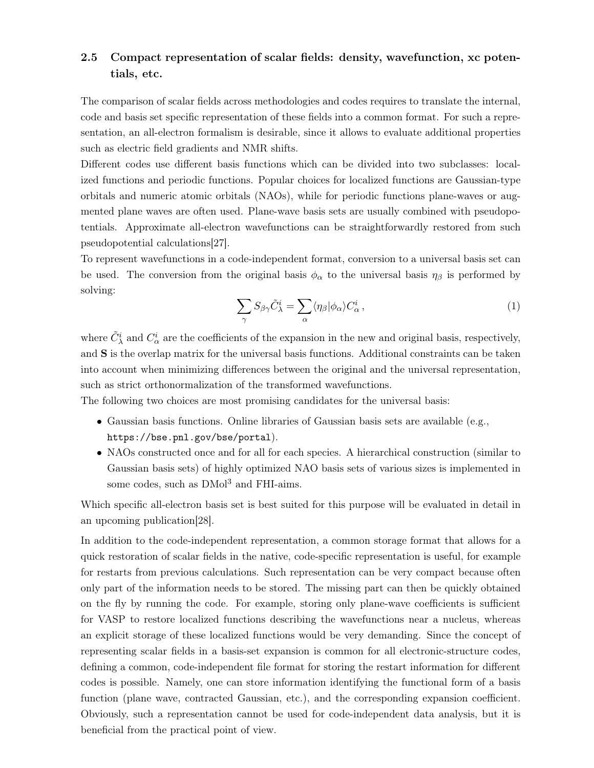## 2.5 Compact representation of scalar fields: density, wavefunction, xc potentials, etc.

The comparison of scalar fields across methodologies and codes requires to translate the internal, code and basis set specific representation of these fields into a common format. For such a representation, an all-electron formalism is desirable, since it allows to evaluate additional properties such as electric field gradients and NMR shifts.

Different codes use different basis functions which can be divided into two subclasses: localized functions and periodic functions. Popular choices for localized functions are Gaussian-type orbitals and numeric atomic orbitals (NAOs), while for periodic functions plane-waves or augmented plane waves are often used. Plane-wave basis sets are usually combined with pseudopotentials. Approximate all-electron wavefunctions can be straightforwardly restored from such pseudopotential calculations[27].

To represent wavefunctions in a code-independent format, conversion to a universal basis set can be used. The conversion from the original basis  $\phi_{\alpha}$  to the universal basis  $\eta_{\beta}$  is performed by solving:

$$
\sum_{\gamma} S_{\beta \gamma} \tilde{C}_{\lambda}^{i} = \sum_{\alpha} \langle \eta_{\beta} | \phi_{\alpha} \rangle C_{\alpha}^{i} , \qquad (1)
$$

where  $\tilde{C}^i_\lambda$  and  $C^i_\alpha$  are the coefficients of the expansion in the new and original basis, respectively, and S is the overlap matrix for the universal basis functions. Additional constraints can be taken into account when minimizing differences between the original and the universal representation, such as strict orthonormalization of the transformed wavefunctions.

The following two choices are most promising candidates for the universal basis:

- Gaussian basis functions. Online libraries of Gaussian basis sets are available (e.g., https://bse.pnl.gov/bse/portal).
- NAOs constructed once and for all for each species. A hierarchical construction (similar to Gaussian basis sets) of highly optimized NAO basis sets of various sizes is implemented in some codes, such as  $\text{DMol}^3$  and FHI-aims.

Which specific all-electron basis set is best suited for this purpose will be evaluated in detail in an upcoming publication[28].

In addition to the code-independent representation, a common storage format that allows for a quick restoration of scalar fields in the native, code-specific representation is useful, for example for restarts from previous calculations. Such representation can be very compact because often only part of the information needs to be stored. The missing part can then be quickly obtained on the fly by running the code. For example, storing only plane-wave coefficients is sufficient for VASP to restore localized functions describing the wavefunctions near a nucleus, whereas an explicit storage of these localized functions would be very demanding. Since the concept of representing scalar fields in a basis-set expansion is common for all electronic-structure codes, defining a common, code-independent file format for storing the restart information for different codes is possible. Namely, one can store information identifying the functional form of a basis function (plane wave, contracted Gaussian, etc.), and the corresponding expansion coefficient. Obviously, such a representation cannot be used for code-independent data analysis, but it is beneficial from the practical point of view.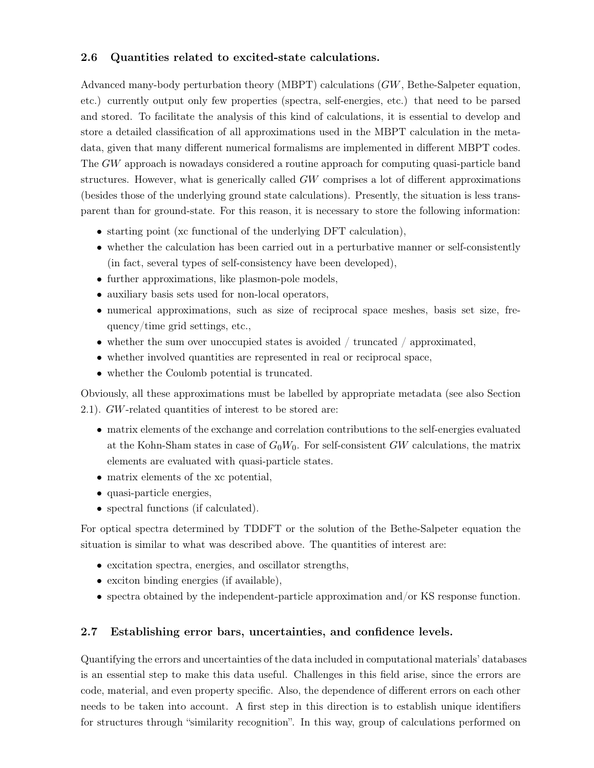### 2.6 Quantities related to excited-state calculations.

Advanced many-body perturbation theory (MBPT) calculations (GW, Bethe-Salpeter equation, etc.) currently output only few properties (spectra, self-energies, etc.) that need to be parsed and stored. To facilitate the analysis of this kind of calculations, it is essential to develop and store a detailed classification of all approximations used in the MBPT calculation in the metadata, given that many different numerical formalisms are implemented in different MBPT codes. The GW approach is nowadays considered a routine approach for computing quasi-particle band structures. However, what is generically called GW comprises a lot of different approximations (besides those of the underlying ground state calculations). Presently, the situation is less transparent than for ground-state. For this reason, it is necessary to store the following information:

- starting point (xc functional of the underlying DFT calculation),
- whether the calculation has been carried out in a perturbative manner or self-consistently (in fact, several types of self-consistency have been developed),
- further approximations, like plasmon-pole models,
- auxiliary basis sets used for non-local operators,
- numerical approximations, such as size of reciprocal space meshes, basis set size, frequency/time grid settings, etc.,
- whether the sum over unoccupied states is avoided / truncated / approximated,
- whether involved quantities are represented in real or reciprocal space,
- whether the Coulomb potential is truncated.

Obviously, all these approximations must be labelled by appropriate metadata (see also Section 2.1). GW-related quantities of interest to be stored are:

- matrix elements of the exchange and correlation contributions to the self-energies evaluated at the Kohn-Sham states in case of  $G_0W_0$ . For self-consistent GW calculations, the matrix elements are evaluated with quasi-particle states.
- matrix elements of the xc potential,
- quasi-particle energies,
- spectral functions (if calculated).

For optical spectra determined by TDDFT or the solution of the Bethe-Salpeter equation the situation is similar to what was described above. The quantities of interest are:

- excitation spectra, energies, and oscillator strengths,
- exciton binding energies (if available),
- spectra obtained by the independent-particle approximation and/or KS response function.

### 2.7 Establishing error bars, uncertainties, and confidence levels.

Quantifying the errors and uncertainties of the data included in computational materials' databases is an essential step to make this data useful. Challenges in this field arise, since the errors are code, material, and even property specific. Also, the dependence of different errors on each other needs to be taken into account. A first step in this direction is to establish unique identifiers for structures through "similarity recognition". In this way, group of calculations performed on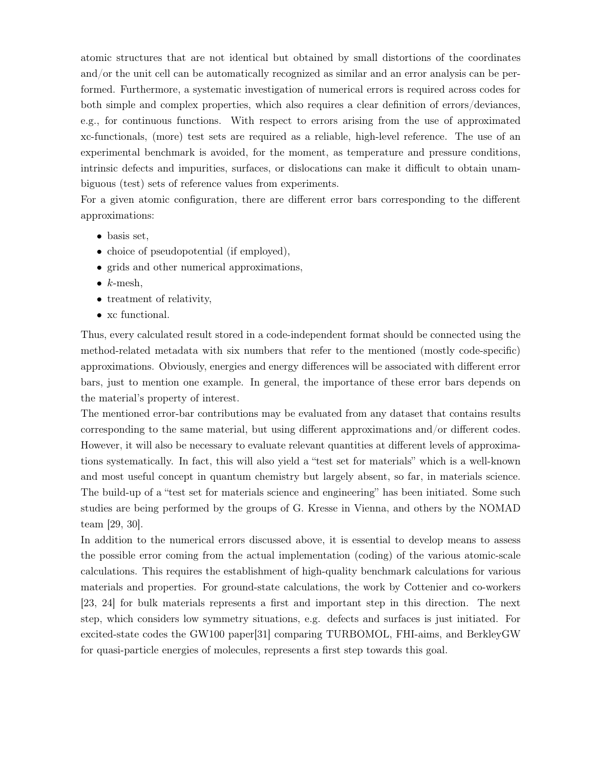atomic structures that are not identical but obtained by small distortions of the coordinates and/or the unit cell can be automatically recognized as similar and an error analysis can be performed. Furthermore, a systematic investigation of numerical errors is required across codes for both simple and complex properties, which also requires a clear definition of errors/deviances, e.g., for continuous functions. With respect to errors arising from the use of approximated xc-functionals, (more) test sets are required as a reliable, high-level reference. The use of an experimental benchmark is avoided, for the moment, as temperature and pressure conditions, intrinsic defects and impurities, surfaces, or dislocations can make it difficult to obtain unambiguous (test) sets of reference values from experiments.

For a given atomic configuration, there are different error bars corresponding to the different approximations:

- basis set,
- choice of pseudopotential (if employed),
- grids and other numerical approximations,
- $k$ -mesh,
- treatment of relativity,
- xc functional.

Thus, every calculated result stored in a code-independent format should be connected using the method-related metadata with six numbers that refer to the mentioned (mostly code-specific) approximations. Obviously, energies and energy differences will be associated with different error bars, just to mention one example. In general, the importance of these error bars depends on the material's property of interest.

The mentioned error-bar contributions may be evaluated from any dataset that contains results corresponding to the same material, but using different approximations and/or different codes. However, it will also be necessary to evaluate relevant quantities at different levels of approximations systematically. In fact, this will also yield a "test set for materials" which is a well-known and most useful concept in quantum chemistry but largely absent, so far, in materials science. The build-up of a "test set for materials science and engineering" has been initiated. Some such studies are being performed by the groups of G. Kresse in Vienna, and others by the NOMAD team [29, 30].

In addition to the numerical errors discussed above, it is essential to develop means to assess the possible error coming from the actual implementation (coding) of the various atomic-scale calculations. This requires the establishment of high-quality benchmark calculations for various materials and properties. For ground-state calculations, the work by Cottenier and co-workers [23, 24] for bulk materials represents a first and important step in this direction. The next step, which considers low symmetry situations, e.g. defects and surfaces is just initiated. For excited-state codes the GW100 paper[31] comparing TURBOMOL, FHI-aims, and BerkleyGW for quasi-particle energies of molecules, represents a first step towards this goal.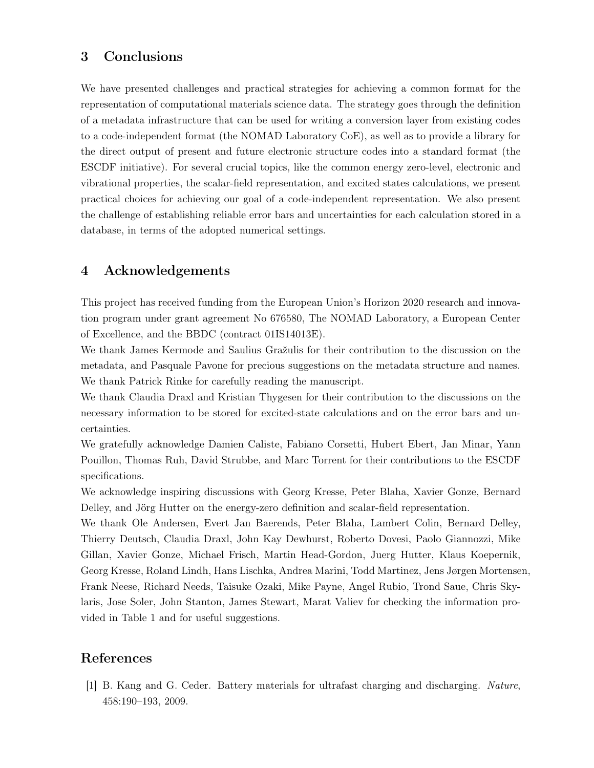# 3 Conclusions

We have presented challenges and practical strategies for achieving a common format for the representation of computational materials science data. The strategy goes through the definition of a metadata infrastructure that can be used for writing a conversion layer from existing codes to a code-independent format (the NOMAD Laboratory CoE), as well as to provide a library for the direct output of present and future electronic structure codes into a standard format (the ESCDF initiative). For several crucial topics, like the common energy zero-level, electronic and vibrational properties, the scalar-field representation, and excited states calculations, we present practical choices for achieving our goal of a code-independent representation. We also present the challenge of establishing reliable error bars and uncertainties for each calculation stored in a database, in terms of the adopted numerical settings.

## 4 Acknowledgements

This project has received funding from the European Union's Horizon 2020 research and innovation program under grant agreement No 676580, The NOMAD Laboratory, a European Center of Excellence, and the BBDC (contract 01IS14013E).

We thank James Kermode and Saulius Gražulis for their contribution to the discussion on the metadata, and Pasquale Pavone for precious suggestions on the metadata structure and names. We thank Patrick Rinke for carefully reading the manuscript.

We thank Claudia Draxl and Kristian Thygesen for their contribution to the discussions on the necessary information to be stored for excited-state calculations and on the error bars and uncertainties.

We gratefully acknowledge Damien Caliste, Fabiano Corsetti, Hubert Ebert, Jan Minar, Yann Pouillon, Thomas Ruh, David Strubbe, and Marc Torrent for their contributions to the ESCDF specifications.

We acknowledge inspiring discussions with Georg Kresse, Peter Blaha, Xavier Gonze, Bernard Delley, and Jörg Hutter on the energy-zero definition and scalar-field representation.

We thank Ole Andersen, Evert Jan Baerends, Peter Blaha, Lambert Colin, Bernard Delley, Thierry Deutsch, Claudia Draxl, John Kay Dewhurst, Roberto Dovesi, Paolo Giannozzi, Mike Gillan, Xavier Gonze, Michael Frisch, Martin Head-Gordon, Juerg Hutter, Klaus Koepernik, Georg Kresse, Roland Lindh, Hans Lischka, Andrea Marini, Todd Martinez, Jens Jørgen Mortensen, Frank Neese, Richard Needs, Taisuke Ozaki, Mike Payne, Angel Rubio, Trond Saue, Chris Skylaris, Jose Soler, John Stanton, James Stewart, Marat Valiev for checking the information provided in Table 1 and for useful suggestions.

## References

[1] B. Kang and G. Ceder. Battery materials for ultrafast charging and discharging. Nature, 458:190–193, 2009.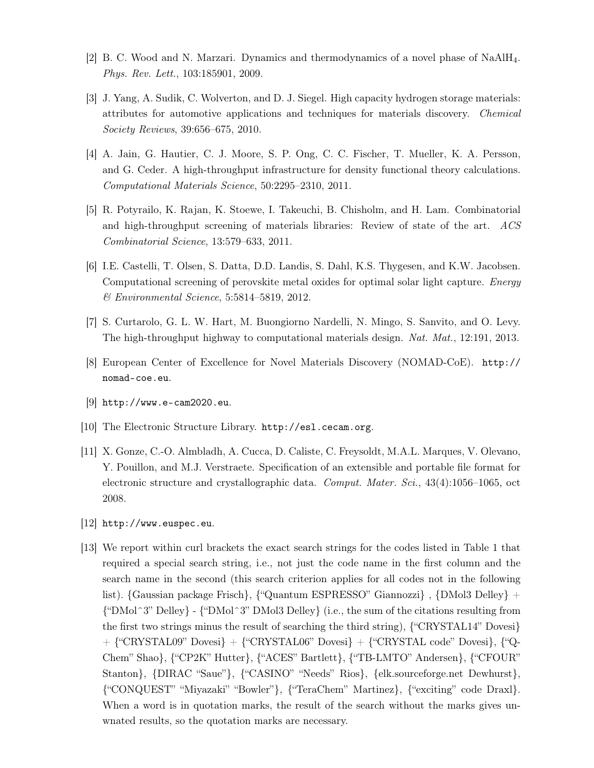- [2] B. C. Wood and N. Marzari. Dynamics and thermodynamics of a novel phase of NaAlH4. Phys. Rev. Lett., 103:185901, 2009.
- [3] J. Yang, A. Sudik, C. Wolverton, and D. J. Siegel. High capacity hydrogen storage materials: attributes for automotive applications and techniques for materials discovery. Chemical Society Reviews, 39:656–675, 2010.
- [4] A. Jain, G. Hautier, C. J. Moore, S. P. Ong, C. C. Fischer, T. Mueller, K. A. Persson, and G. Ceder. A high-throughput infrastructure for density functional theory calculations. Computational Materials Science, 50:2295–2310, 2011.
- [5] R. Potyrailo, K. Rajan, K. Stoewe, I. Takeuchi, B. Chisholm, and H. Lam. Combinatorial and high-throughput screening of materials libraries: Review of state of the art. ACS Combinatorial Science, 13:579–633, 2011.
- [6] I.E. Castelli, T. Olsen, S. Datta, D.D. Landis, S. Dahl, K.S. Thygesen, and K.W. Jacobsen. Computational screening of perovskite metal oxides for optimal solar light capture. Energy & Environmental Science, 5:5814–5819, 2012.
- [7] S. Curtarolo, G. L. W. Hart, M. Buongiorno Nardelli, N. Mingo, S. Sanvito, and O. Levy. The high-throughput highway to computational materials design. Nat. Mat., 12:191, 2013.
- [8] European Center of Excellence for Novel Materials Discovery (NOMAD-CoE). http:// nomad-coe.eu.
- [9] http://www.e-cam2020.eu.
- [10] The Electronic Structure Library. http://esl.cecam.org.
- [11] X. Gonze, C.-O. Almbladh, A. Cucca, D. Caliste, C. Freysoldt, M.A.L. Marques, V. Olevano, Y. Pouillon, and M.J. Verstraete. Specification of an extensible and portable file format for electronic structure and crystallographic data. *Comput. Mater. Sci.*,  $43(4):1056-1065$ , oct 2008.
- [12] http://www.euspec.eu.
- [13] We report within curl brackets the exact search strings for the codes listed in Table 1 that required a special search string, i.e., not just the code name in the first column and the search name in the second (this search criterion applies for all codes not in the following list). {Gaussian package Frisch}, {"Quantum ESPRESSO" Giannozzi}, {DMol3 Delley} +  ${^{\text{``DMol}}3"}$  Delley} -  ${^{\text{``DMol}}3"}$  DMol3 Delley} (i.e., the sum of the citations resulting from the first two strings minus the result of searching the third string), {"CRYSTAL14" Dovesi}  $+$  {"CRYSTAL09" Dovesi}  $+$  {"CRYSTAL06" Dovesi}  $+$  {"CRYSTAL code" Dovesi}, {"Q-Chem" Shao}, {"CP2K" Hutter}, {"ACES" Bartlett}, {"TB-LMTO" Andersen}, {"CFOUR" Stanton}, {DIRAC "Saue"}, {"CASINO" "Needs" Rios}, {elk.sourceforge.net Dewhurst}, {"CONQUEST" "Miyazaki" "Bowler"}, {"TeraChem" Martinez}, {"exciting" code Draxl}. When a word is in quotation marks, the result of the search without the marks gives unwnated results, so the quotation marks are necessary.